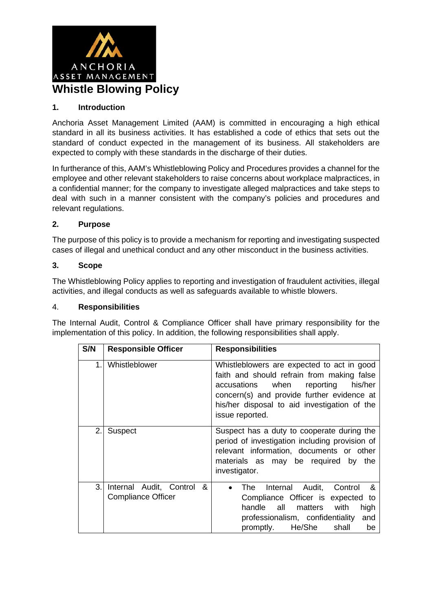

#### **1. Introduction**

Anchoria Asset Management Limited (AAM) is committed in encouraging a high ethical standard in all its business activities. It has established a code of ethics that sets out the standard of conduct expected in the management of its business. All stakeholders are expected to comply with these standards in the discharge of their duties.

In furtherance of this, AAM's Whistleblowing Policy and Procedures provides a channel for the employee and other relevant stakeholders to raise concerns about workplace malpractices, in a confidential manner; for the company to investigate alleged malpractices and take steps to deal with such in a manner consistent with the company's policies and procedures and relevant regulations.

#### **2. Purpose**

The purpose of this policy is to provide a mechanism for reporting and investigating suspected cases of illegal and unethical conduct and any other misconduct in the business activities.

## **3. Scope**

The Whistleblowing Policy applies to reporting and investigation of fraudulent activities, illegal activities, and illegal conducts as well as safeguards available to whistle blowers.

#### 4. **Responsibilities**

The Internal Audit, Control & Compliance Officer shall have primary responsibility for the implementation of this policy. In addition, the following responsibilities shall apply.

| S/N | <b>Responsible Officer</b>                                | <b>Responsibilities</b>                                                                                                                                                                                                                                  |
|-----|-----------------------------------------------------------|----------------------------------------------------------------------------------------------------------------------------------------------------------------------------------------------------------------------------------------------------------|
| 1.  | Whistleblower                                             | Whistleblowers are expected to act in good<br>faith and should refrain from making false<br>when<br>his/her<br>accusations<br>reporting<br>concern(s) and provide further evidence at<br>his/her disposal to aid investigation of the<br>issue reported. |
| 2.1 | <b>Suspect</b>                                            | Suspect has a duty to cooperate during the<br>period of investigation including provision of<br>relevant information, documents or other<br>materials as may be required by<br>the<br>investigator.                                                      |
| 3.1 | Internal Audit, Control<br>&<br><b>Compliance Officer</b> | Internal Audit, Control<br>- &<br>The<br>Compliance Officer is expected to<br>handle all matters<br>high<br>with<br>professionalism, confidentiality<br>and<br>promptly. He/She<br>shall<br>be                                                           |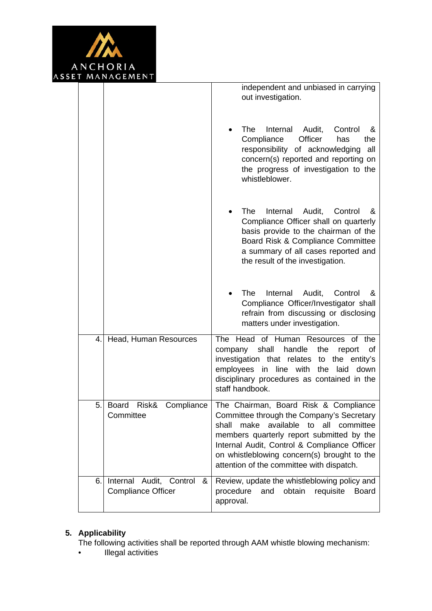

|    |                                                           | independent and unbiased in carrying<br>out investigation.                                                                                                                                                                                                                                                                          |
|----|-----------------------------------------------------------|-------------------------------------------------------------------------------------------------------------------------------------------------------------------------------------------------------------------------------------------------------------------------------------------------------------------------------------|
|    |                                                           | The<br>Internal Audit,<br>Control<br>&<br>Officer<br>Compliance<br>has<br>the<br>responsibility of acknowledging<br>all<br>concern(s) reported and reporting on<br>the progress of investigation to the<br>whistleblower.                                                                                                           |
|    |                                                           | The<br>Internal<br>Audit,<br>Control<br>&<br>Compliance Officer shall on quarterly<br>basis provide to the chairman of the<br>Board Risk & Compliance Committee<br>a summary of all cases reported and<br>the result of the investigation.                                                                                          |
|    |                                                           | The<br>Internal<br>Audit,<br>Control<br>&<br>Compliance Officer/Investigator shall<br>refrain from discussing or disclosing<br>matters under investigation.                                                                                                                                                                         |
| 4. | Head, Human Resources                                     | Head of Human Resources of<br>The<br>the<br>company shall<br>handle<br>the<br>report<br>of<br>investigation that relates to the entity's<br>employees in<br>line with the<br>laid<br>down<br>disciplinary procedures as contained in the<br>staff handbook.                                                                         |
| 5. | Risk&<br>Compliance<br>Board<br>Committee                 | The Chairman, Board Risk & Compliance<br>Committee through the Company's Secretary<br>available<br>make<br>to<br>committee<br>shall<br>all<br>members quarterly report submitted by the<br>Internal Audit, Control & Compliance Officer<br>on whistleblowing concern(s) brought to the<br>attention of the committee with dispatch. |
| 6. | Internal Audit, Control<br>&<br><b>Compliance Officer</b> | Review, update the whistleblowing policy and<br>procedure<br>and<br>obtain<br>requisite<br><b>Board</b><br>approval.                                                                                                                                                                                                                |

# **5. Applicability**

The following activities shall be reported through AAM whistle blowing mechanism:

• Illegal activities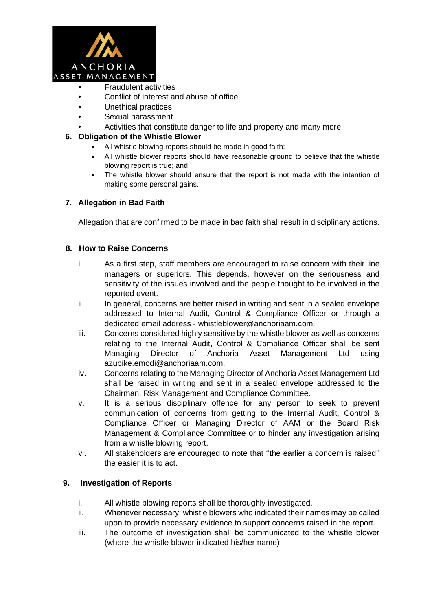

- Fraudulent activities
- Conflict of interest and abuse of office
- Unethical practices
- Sexual harassment
	- Activities that constitute danger to life and property and many more

## **6. Obligation of the Whistle Blower**

- All whistle blowing reports should be made in good faith;
- All whistle blower reports should have reasonable ground to believe that the whistle blowing report is true; and
- The whistle blower should ensure that the report is not made with the intention of making some personal gains.

# **7. Allegation in Bad Faith**

Allegation that are confirmed to be made in bad faith shall result in disciplinary actions.

#### **8. How to Raise Concerns**

- i. As a first step, staff members are encouraged to raise concern with their line managers or superiors. This depends, however on the seriousness and sensitivity of the issues involved and the people thought to be involved in the reported event.
- ii. In general, concerns are better raised in writing and sent in a sealed envelope addressed to Internal Audit, Control & Compliance Officer or through a dedicated email address - whistleblower@anchoriaam.com.
- iii. Concerns considered highly sensitive by the whistle blower as well as concerns relating to the Internal Audit, Control & Compliance Officer shall be sent Managing Director of Anchoria Asset Management Ltd using azubike.emodi@anchoriaam.com.
- iv. Concerns relating to the Managing Director of Anchoria Asset Management Ltd shall be raised in writing and sent in a sealed envelope addressed to the Chairman, Risk Management and Compliance Committee.
- v. It is a serious disciplinary offence for any person to seek to prevent communication of concerns from getting to the Internal Audit, Control & Compliance Officer or Managing Director of AAM or the Board Risk Management & Compliance Committee or to hinder any investigation arising from a whistle blowing report.
- vi. All stakeholders are encouraged to note that ''the earlier a concern is raised'' the easier it is to act.

# **9. Investigation of Reports**

- i. All whistle blowing reports shall be thoroughly investigated.
- ii. Whenever necessary, whistle blowers who indicated their names may be called upon to provide necessary evidence to support concerns raised in the report.
- iii. The outcome of investigation shall be communicated to the whistle blower (where the whistle blower indicated his/her name)